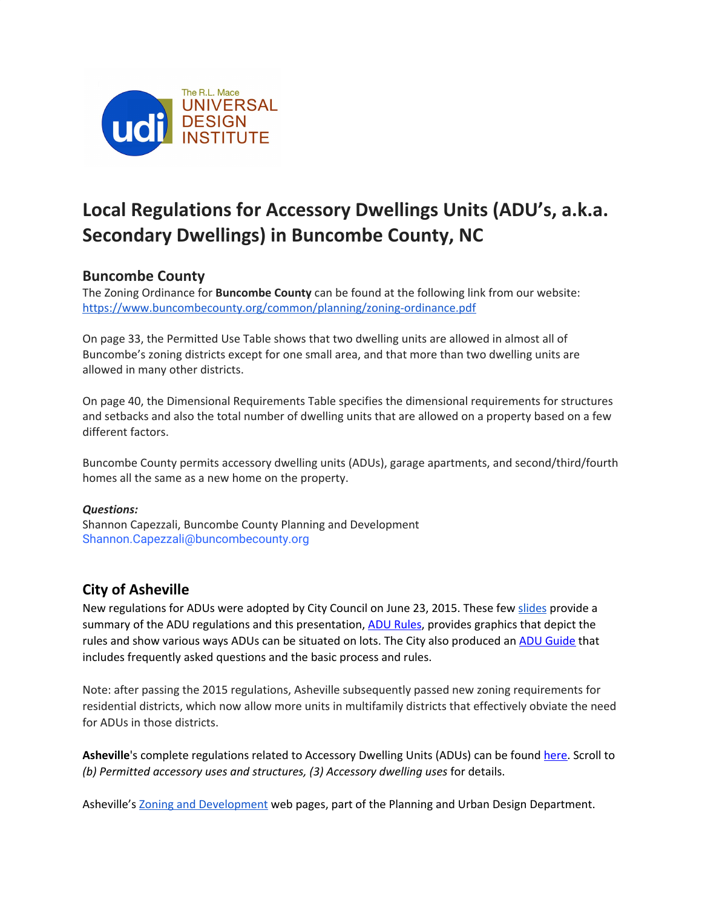

# **Local Regulations for Accessory Dwellings Units (ADU's, a.k.a. Secondary Dwellings) in Buncombe County, NC**

# **Buncombe County**

The Zoning Ordinance for **Buncombe County** can be found at the following link from our website: <https://www.buncombecounty.org/common/planning/zoning-ordinance.pdf>

On page 33, the Permitted Use Table shows that two dwelling units are allowed in almost all of Buncombe's zoning districts except for one small area, and that more than two dwelling units are allowed in many other districts.

On page 40, the Dimensional Requirements Table specifies the dimensional requirements for structures and setbacks and also the total number of dwelling units that are allowed on a property based on a few different factors.

Buncombe County permits accessory dwelling units (ADUs), garage apartments, and second/third/fourth homes all the same as a new home on the property.

#### *Questions:*

Shannon Capezzali, Buncombe County Planning and Development Shannon.Capezzali@buncombecounty.org

# **City of Asheville**

New regulations for ADUs were adopted by City Council on June 23, 2015. These few [slides](https://docs.google.com/presentation/d/e/2PACX-1vRouzelj_kpmsis52-vVJ-kniIdO4Xr4Arb-GzpsVuOO8vKFataco5l4-Z8ORlRVWZVJdCW-zXYec35/pub?start=false&loop=false&delayms=3000&slide=id.g63e0b0e987_1_0) provide a summary of the ADU regulations and this presentation, ADU [Rules,](https://drive.google.com/file/d/1P0023pYbAKtybA4aoC5960LZFqxC0-WE/view) provides graphics that depict the rules and show various ways ADUs can be situated on lots. The City also produced an ADU [Guide](https://drive.google.com/file/d/1P1Ev57D8Fyv08TgrxU20q9kvzmraXDoH/view) that includes frequently asked questions and the basic process and rules.

Note: after passing the 2015 regulations, Asheville subsequently passed new zoning requirements for residential districts, which now allow more units in multifamily districts that effectively obviate the need for ADUs in those districts.

Asheville's complete regulations related to Accessory Dwelling Units (ADUs) can be found [here.](https://library.municode.com/nc/asheville/codes/code_of_ordinances?nodeId=PTIICOOR_CH7DE_ARTXIVACTEUSST_S7-14-1ACUSST) Scroll to *(b) Permitted accessory uses and structures, (3) Accessory dwelling uses* for details.

Asheville's Zoning and [Development](https://www.ashevillenc.gov/department/planning-urban-design/zoning-administration/) web pages, part of the Planning and Urban Design Department.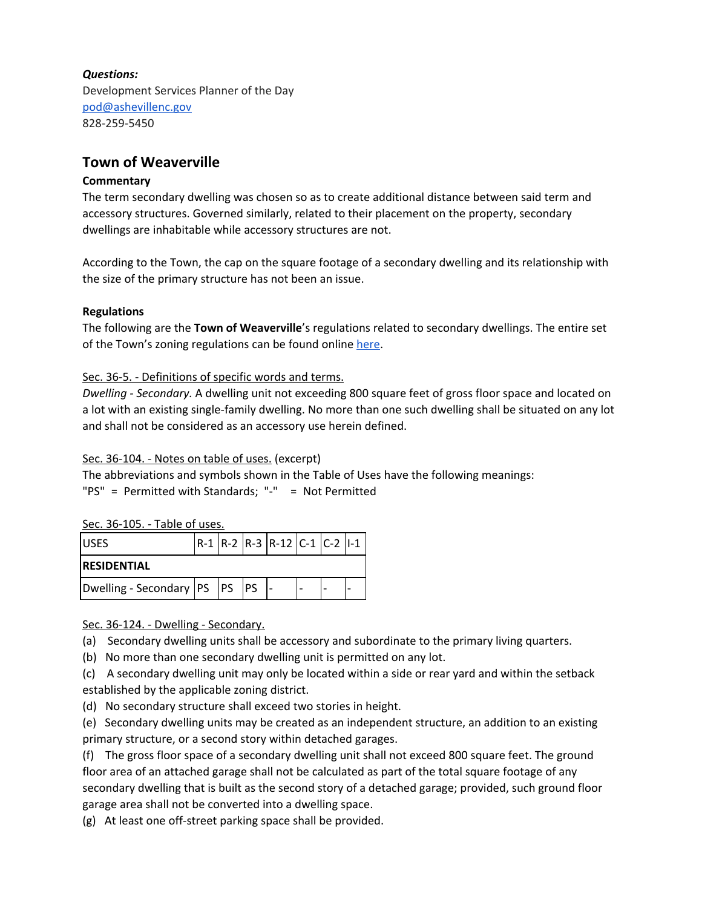#### *Questions:*

Development Services Planner of the Day [pod@ashevillenc.gov](mailto:pod@ashevillenc.gov) 828-259-5450

## **Town of Weaverville**

#### **Commentary**

The term secondary dwelling was chosen so as to create additional distance between said term and accessory structures. Governed similarly, related to their placement on the property, secondary dwellings are inhabitable while accessory structures are not.

According to the Town, the cap on the square footage of a secondary dwelling and its relationship with the size of the primary structure has not been an issue.

#### **Regulations**

The following are the **Town of Weaverville**'s regulations related to secondary dwellings. The entire set of the Town's zoning regulations can be found online [here.](https://library.municode.com/nc/weaverville/codes/code_of_ordinances?nodeId=PTIICOOR_CH36ZO)

#### Sec. 36-5. - Definitions of specific words and terms.

*Dwelling - Secondary.* A dwelling unit not exceeding 800 square feet of gross floor space and located on a lot with an existing single-family dwelling. No more than one such dwelling shall be situated on any lot and shall not be considered as an accessory use herein defined.

#### Sec. 36-104. - Notes on table of uses. (excerpt)

The abbreviations and symbols shown in the Table of Uses have the following meanings:

"PS" = Permitted with Standards; "-" = Not Permitted

#### Sec. 36-105. - Table of uses.

| <b>USES</b>                      |  |  |  | $ R-1 R-2 R-3 R-12 C-1 C-2 1-1 $ |  |  |  |
|----------------------------------|--|--|--|----------------------------------|--|--|--|
| <b>RESIDENTIAL</b>               |  |  |  |                                  |  |  |  |
| Dwelling - Secondary  PS  PS  PS |  |  |  |                                  |  |  |  |

Sec. 36-124. - Dwelling - Secondary.

(a) Secondary dwelling units shall be accessory and subordinate to the primary living quarters.

(b) No more than one secondary dwelling unit is permitted on any lot.

(c) A secondary dwelling unit may only be located within a side or rear yard and within the setback established by the applicable zoning district.

(d) No secondary structure shall exceed two stories in height.

(e) Secondary dwelling units may be created as an independent structure, an addition to an existing primary structure, or a second story within detached garages.

(f) The gross floor space of a secondary dwelling unit shall not exceed 800 square feet. The ground floor area of an attached garage shall not be calculated as part of the total square footage of any secondary dwelling that is built as the second story of a detached garage; provided, such ground floor garage area shall not be converted into a dwelling space.

(g) At least one off-street parking space shall be provided.